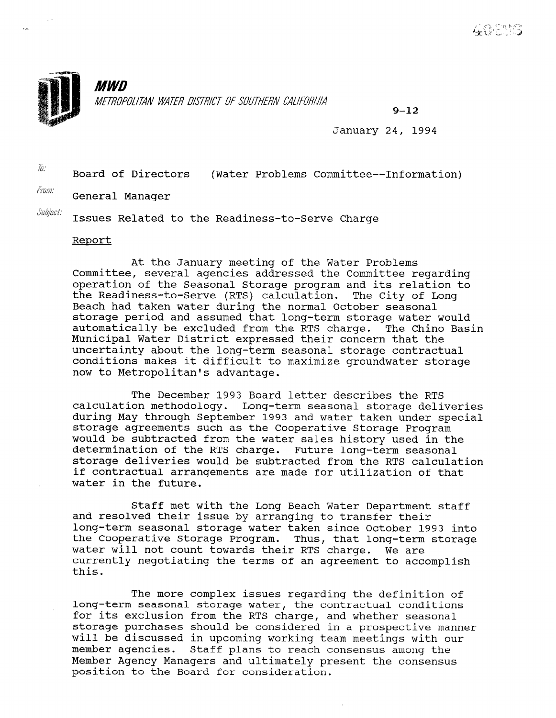

 $9 - 12$ 

January 24, 1994

 $\frac{y}{x}$  Board of Directors (Water Problems Committee--Information)

 $\ell$ <sub>rom:</sub> General Manager

Subject:

 $\overline{a}$ 

Issues Related to the Readiness-to-Serve Charge

## Report

At the January meeting of the Water Problems Committee, several agencies addressed the Committee regarding operation of the Seasonal Storage program and its relation to the Readiness-to-Serve (RTS) calculation. The City of Long Beach had taken water during the normal October seasonal storage period and assumed that long-term storage water would automatically be excluded from the RTS charge. The Chino Basin Municipal Water District expressed their concern that the uncertainty about the long-term seasonal storage contractual conditions makes it difficult to maximize groundwater storage now to Metropolitan's advantage.

The December 1993 Board letter describes the RTS calculation methodology. Long-term seasonal storage deliveries during May through September 1993 and water taken under special storage agreements such as the Cooperative Storage Program would be subtracted from the water sales history used in the determination of the RTS charge. Future long-term seasonal storage deliveries would be subtracted from the RTS calculation if contractual arrangements are made for utilization of that water in the future.

Staff met with the Long Beach Water Department staff and resolved their issue by arranging to transfer their long-term seasonal storage water taken since October 1993 into the Cooperative Storage Program. Thus, that long-term storage water will not count towards their RTS charge. We are currently negotiating the terms of an agreement to accomplish this.

The more complex issues regarding the definition of long-term seasonal storage water, the complex issues regarding the definitions  $\mathbf{r}$ long-term seasonal storage water, the contractual conditions for its exclusion from the RTS charge, and whether seasonal storage purchases should be considered in a prospective manner will be discussed in upcoming working team meetings with our member agencies. Staff plans to reach consensus among the Member Agency Managers and ultimately present the consensus position to the Board for consideration.